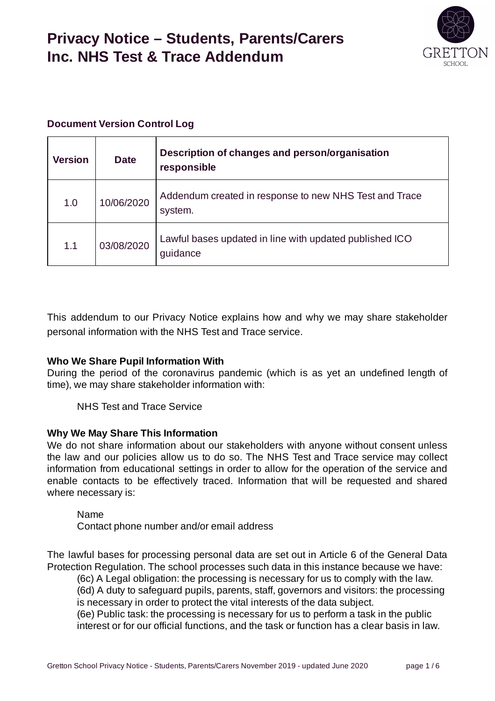

#### **Document Version Control Log**

| <b>Version</b> | <b>Date</b> | Description of changes and person/organisation<br>responsible       |
|----------------|-------------|---------------------------------------------------------------------|
| 1.0            | 10/06/2020  | Addendum created in response to new NHS Test and Trace<br>system.   |
| 1.1            | 03/08/2020  | Lawful bases updated in line with updated published ICO<br>quidance |

This addendum to our Privacy Notice explains how and why we may share stakeholder personal information with the NHS Test and Trace service.

#### **Who We Share Pupil Information With**

During the period of the coronavirus pandemic (which is as yet an undefined length of time), we may share stakeholder information with:

NHS Test and Trace Service

#### **Why We May Share This Information**

We do not share information about our stakeholders with anyone without consent unless the law and our policies allow us to do so. The NHS Test and Trace service may collect information from educational settings in order to allow for the operation of the service and enable contacts to be effectively traced. Information that will be requested and shared where necessary is:

Name

Contact phone number and/or email address

The lawful bases for processing personal data are set out in Article 6 of the General Data Protection Regulation. The school processes such data in this instance because we have:

(6c) A Legal obligation: the processing is necessary for us to comply with the law. (6d) A duty to safeguard pupils, parents, staff, governors and visitors: the processing is necessary in order to protect the vital interests of the data subject.

(6e) Public task: the processing is necessary for us to perform a task in the public interest or for our official functions, and the task or function has a clear basis in law.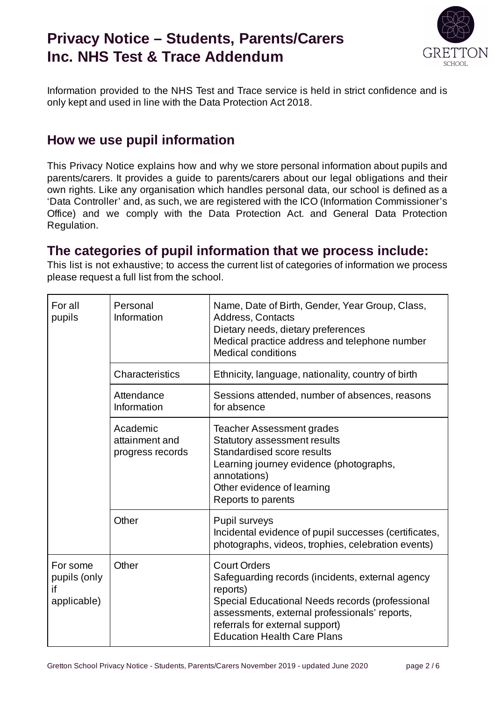

Information provided to the NHS Test and Trace service is held in strict confidence and is only kept and used in line with the Data Protection Act 2018.

### **How we use pupil information**

This Privacy Notice explains how and why we store personal information about pupils and parents/carers. It provides a guide to parents/carers about our legal obligations and their own rights. Like any organisation which handles personal data, our school is defined as a 'Data Controller' and, as such, we are registered with the ICO (Information Commissioner's Office) and we comply with the Data Protection Act. and General Data Protection Regulation.

### **The categories of pupil information that we process include:**

This list is not exhaustive; to access the current list of categories of information we process please request a full list from the school.

| For all<br>pupils                             | Personal<br>Information                        | Name, Date of Birth, Gender, Year Group, Class,<br>Address, Contacts<br>Dietary needs, dietary preferences<br>Medical practice address and telephone number<br><b>Medical conditions</b>                                                                         |
|-----------------------------------------------|------------------------------------------------|------------------------------------------------------------------------------------------------------------------------------------------------------------------------------------------------------------------------------------------------------------------|
|                                               | Characteristics                                | Ethnicity, language, nationality, country of birth                                                                                                                                                                                                               |
|                                               | Attendance<br>Information                      | Sessions attended, number of absences, reasons<br>for absence                                                                                                                                                                                                    |
|                                               | Academic<br>attainment and<br>progress records | <b>Teacher Assessment grades</b><br>Statutory assessment results<br>Standardised score results<br>Learning journey evidence (photographs,<br>annotations)<br>Other evidence of learning<br>Reports to parents                                                    |
|                                               | Other                                          | Pupil surveys<br>Incidental evidence of pupil successes (certificates,<br>photographs, videos, trophies, celebration events)                                                                                                                                     |
| For some<br>pupils (only<br>if<br>applicable) | Other                                          | <b>Court Orders</b><br>Safeguarding records (incidents, external agency<br>reports)<br>Special Educational Needs records (professional<br>assessments, external professionals' reports,<br>referrals for external support)<br><b>Education Health Care Plans</b> |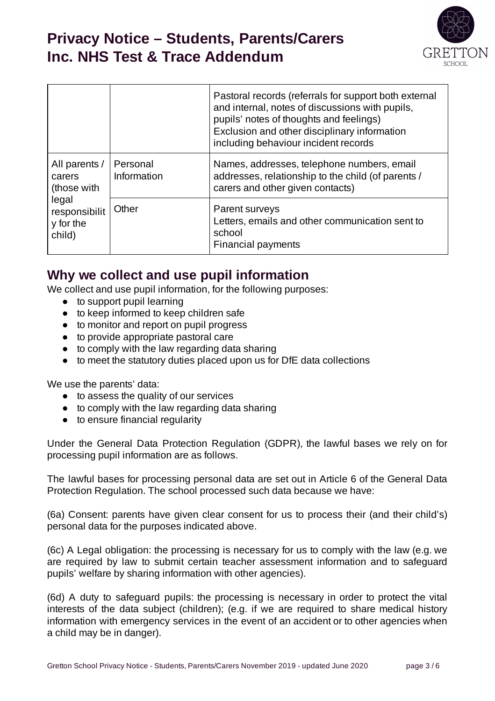

|                                               |                         | Pastoral records (referrals for support both external<br>and internal, notes of discussions with pupils,<br>pupils' notes of thoughts and feelings)<br>Exclusion and other disciplinary information<br>including behaviour incident records |
|-----------------------------------------------|-------------------------|---------------------------------------------------------------------------------------------------------------------------------------------------------------------------------------------------------------------------------------------|
| All parents /<br>carers<br>(those with        | Personal<br>Information | Names, addresses, telephone numbers, email<br>addresses, relationship to the child (of parents /<br>carers and other given contacts)                                                                                                        |
| legal<br>responsibilit<br>y for the<br>child) | Other                   | Parent surveys<br>Letters, emails and other communication sent to<br>school<br><b>Financial payments</b>                                                                                                                                    |

### **Why we collect and use pupil information**

We collect and use pupil information, for the following purposes:

- to support pupil learning
- to keep informed to keep children safe
- to monitor and report on pupil progress
- to provide appropriate pastoral care
- to comply with the law regarding data sharing
- to meet the statutory duties placed upon us for DfE data collections

We use the parents' data:

- to assess the quality of our services
- to comply with the law regarding data sharing
- to ensure financial regularity

Under the General Data Protection Regulation (GDPR), the lawful bases we rely on for processing pupil information are as follows.

The lawful bases for processing personal data are set out in Article 6 of the General Data Protection Regulation. The school processed such data because we have:

(6a) Consent: parents have given clear consent for us to process their (and their child's) personal data for the purposes indicated above.

(6c) A Legal obligation: the processing is necessary for us to comply with the law (e.g. we are required by law to submit certain teacher assessment information and to safeguard pupils' welfare by sharing information with other agencies).

(6d) A duty to safeguard pupils: the processing is necessary in order to protect the vital interests of the data subject (children); (e.g. if we are required to share medical history information with emergency services in the event of an accident or to other agencies when a child may be in danger).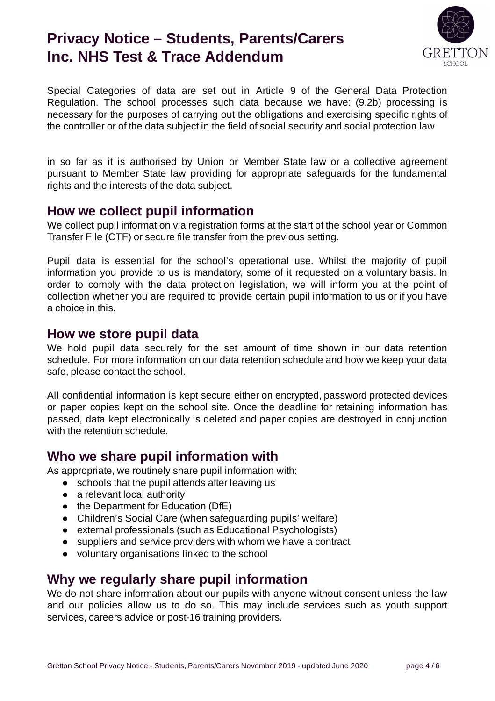

Special Categories of data are set out in Article 9 of the General Data Protection Regulation. The school processes such data because we have: (9.2b) processing is necessary for the purposes of carrying out the obligations and exercising specific rights of the controller or of the data subject in the field of social security and social protection law

in so far as it is authorised by Union or Member State law or a collective agreement pursuant to Member State law providing for appropriate safeguards for the fundamental rights and the interests of the data subject.

#### **How we collect pupil information**

We collect pupil information via registration forms at the start of the school year or Common Transfer File (CTF) or secure file transfer from the previous setting.

Pupil data is essential for the school's operational use. Whilst the majority of pupil information you provide to us is mandatory, some of it requested on a voluntary basis. In order to comply with the data protection legislation, we will inform you at the point of collection whether you are required to provide certain pupil information to us or if you have a choice in this.

#### **How we store pupil data**

We hold pupil data securely for the set amount of time shown in our data retention schedule. For more information on our data retention schedule and how we keep your data safe, please contact the school.

All confidential information is kept secure either on encrypted, password protected devices or paper copies kept on the school site. Once the deadline for retaining information has passed, data kept electronically is deleted and paper copies are destroyed in conjunction with the retention schedule.

### **Who we share pupil information with**

As appropriate, we routinely share pupil information with:

- schools that the pupil attends after leaving us
- a relevant local authority
- the Department for Education (DfE)
- Children's Social Care (when safeguarding pupils' welfare)
- external professionals (such as Educational Psychologists)
- suppliers and service providers with whom we have a contract
- voluntary organisations linked to the school

### **Why we regularly share pupil information**

We do not share information about our pupils with anyone without consent unless the law and our policies allow us to do so. This may include services such as youth support services, careers advice or post-16 training providers.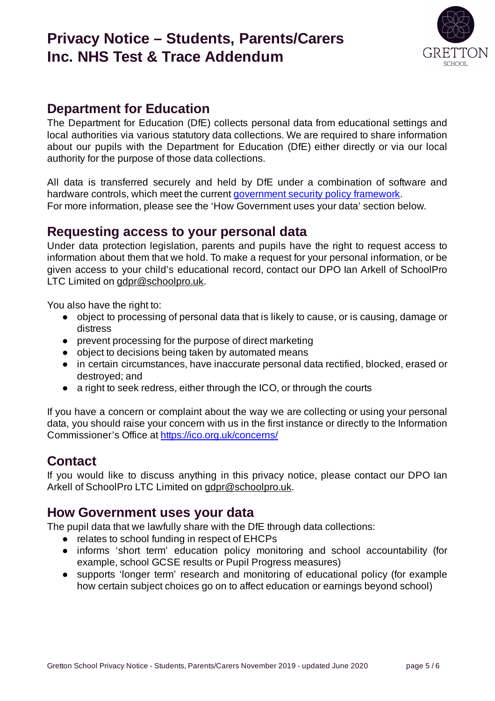

### **Department for Education**

The Department for Education (DfE) collects personal data from educational settings and local authorities via various statutory data collections. We are required to share information about our pupils with the Department for Education (DfE) either directly or via our local authority for the purpose of those data collections.

All data is transferred securely and held by DfE under a combination of software and hardware controls, which meet the current government security policy framework. For more information, please see the 'How Government uses your data' section below.

### **Requesting access to your personal data**

Under data protection legislation, parents and pupils have the right to request access to information about them that we hold. To make a request for your personal information, or be given access to your child's educational record, contact our DPO Ian Arkell of SchoolPro LTC Limited on gdpr@schoolpro.uk.

You also have the right to:

- object to processing of personal data that is likely to cause, or is causing, damage or distress
- prevent processing for the purpose of direct marketing
- object to decisions being taken by automated means
- in certain circumstances, have inaccurate personal data rectified, blocked, erased or destroyed; and
- a right to seek redress, either through the ICO, or through the courts

If you have a concern or complaint about the way we are collecting or using your personal data, you should raise your concern with us in the first instance or directly to the Information Commissioner's Office at <https://ico.org.uk/concerns/>

### **Contact**

If you would like to discuss anything in this privacy notice, please contact our DPO Ian Arkell of SchoolPro LTC Limited on gdpr@schoolpro.uk.

#### **How Government uses your data**

The pupil data that we lawfully share with the DfE through data collections:

- relates to school funding in respect of EHCPs
- informs 'short term' education policy monitoring and school accountability (for example, school GCSE results or Pupil Progress measures)
- supports 'longer term' research and monitoring of educational policy (for example how certain subject choices go on to affect education or earnings beyond school)